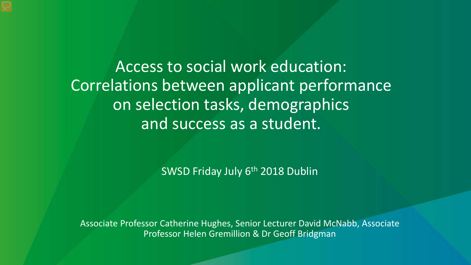Access to social work education: Correlations between applicant performance on selection tasks, demographics and success as a student.

SWSD Friday July 6<sup>th</sup> 2018 Dublin

Associate Professor Catherine Hughes, Senior Lecturer David McNabb, Associate Professor Helen Gremillion & Dr Geoff Bridgman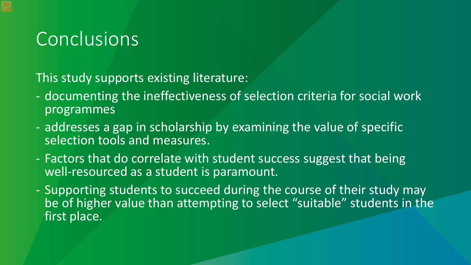### Conclusions

This study supports existing literature:

- documenting the ineffectiveness of selection criteria for social work programmes
- addresses a gap in scholarship by examining the value of specific selection tools and measures.
- Factors that do correlate with student success suggest that being well-resourced as a student is paramount.
- Supporting students to succeed during the course of their study may be of higher value than attempting to select "suitable" students in the first place.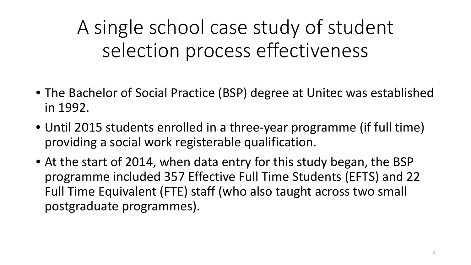A single school case study of student selection process effectiveness

- The Bachelor of Social Practice (BSP) degree at Unitec was established in 1992.
- Until 2015 students enrolled in a three-year programme (if full time) providing a social work registerable qualification.
- At the start of 2014, when data entry for this study began, the BSP programme included 357 Effective Full Time Students (EFTS) and 22 Full Time Equivalent (FTE) staff (who also taught across two small postgraduate programmes).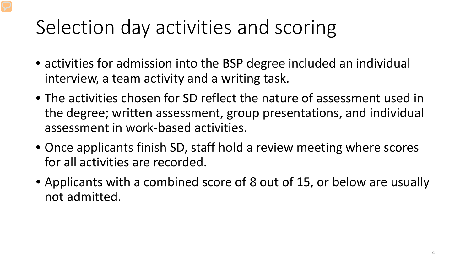# Selection day activities and scoring

- activities for admission into the BSP degree included an individual interview, a team activity and a writing task.
- The activities chosen for SD reflect the nature of assessment used in the degree; written assessment, group presentations, and individual assessment in work-based activities.
- Once applicants finish SD, staff hold a review meeting where scores for all activities are recorded.
- Applicants with a combined score of 8 out of 15, or below are usually not admitted.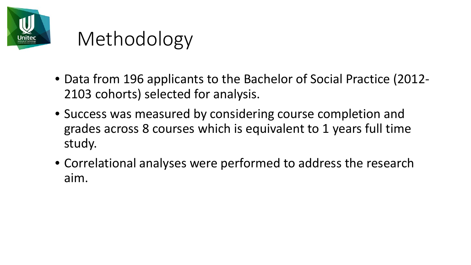

## Methodology

- Data from 196 applicants to the Bachelor of Social Practice (2012- 2103 cohorts) selected for analysis.
- Success was measured by considering course completion and grades across 8 courses which is equivalent to 1 years full time study.
- Correlational analyses were performed to address the research aim.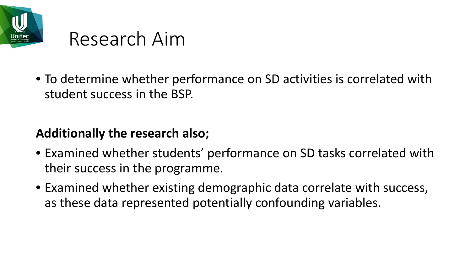

## Research Aim

• To determine whether performance on SD activities is correlated with student success in the BSP.

#### **Additionally the research also;**

- Examined whether students' performance on SD tasks correlated with their success in the programme.
- Examined whether existing demographic data correlate with success, as these data represented potentially confounding variables.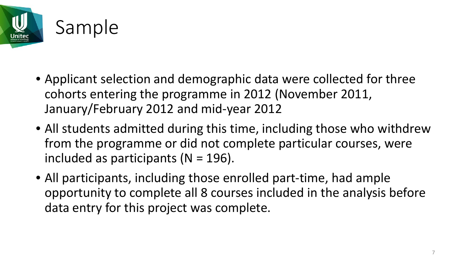

- Applicant selection and demographic data were collected for three cohorts entering the programme in 2012 (November 2011, January/February 2012 and mid-year 2012
- All students admitted during this time, including those who withdrew from the programme or did not complete particular courses, were included as participants ( $N = 196$ ).
- All participants, including those enrolled part-time, had ample opportunity to complete all 8 courses included in the analysis before data entry for this project was complete.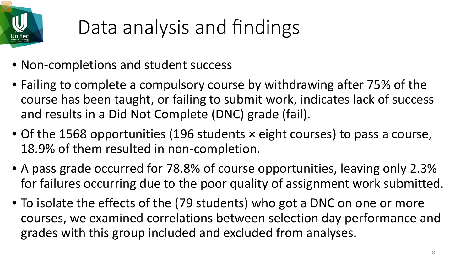

# Data analysis and findings

- Non-completions and student success
- Failing to complete a compulsory course by withdrawing after 75% of the course has been taught, or failing to submit work, indicates lack of success and results in a Did Not Complete (DNC) grade (fail).
- Of the 1568 opportunities (196 students × eight courses) to pass a course, 18.9% of them resulted in non-completion.
- A pass grade occurred for 78.8% of course opportunities, leaving only 2.3% for failures occurring due to the poor quality of assignment work submitted.
- To isolate the effects of the (79 students) who got a DNC on one or more courses, we examined correlations between selection day performance and grades with this group included and excluded from analyses.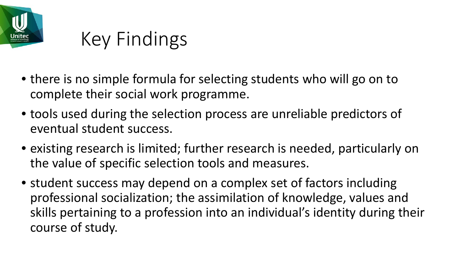

# Key Findings

- there is no simple formula for selecting students who will go on to complete their social work programme.
- tools used during the selection process are unreliable predictors of eventual student success.
- existing research is limited; further research is needed, particularly on the value of specific selection tools and measures.
- student success may depend on a complex set of factors including professional socialization; the assimilation of knowledge, values and skills pertaining to a profession into an individual's identity during their course of study.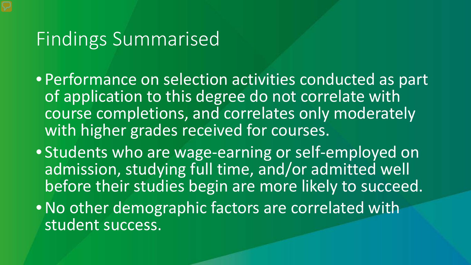#### Findings Summarised

- Performance on selection activities conducted as part of application to this degree do not correlate with course completions, and correlates only moderately with higher grades received for courses.
- Students who are wage-earning or self-employed on admission, studying full time, and/or admitted well before their studies begin are more likely to succeed.
- •No other demographic factors are correlated with student success.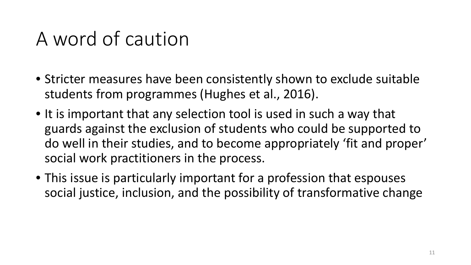## A word of caution

- Stricter measures have been consistently shown to exclude suitable students from programmes (Hughes et al., 2016).
- It is important that any selection tool is used in such a way that guards against the exclusion of students who could be supported to do well in their studies, and to become appropriately 'fit and proper' social work practitioners in the process.
- This issue is particularly important for a profession that espouses social justice, inclusion, and the possibility of transformative change